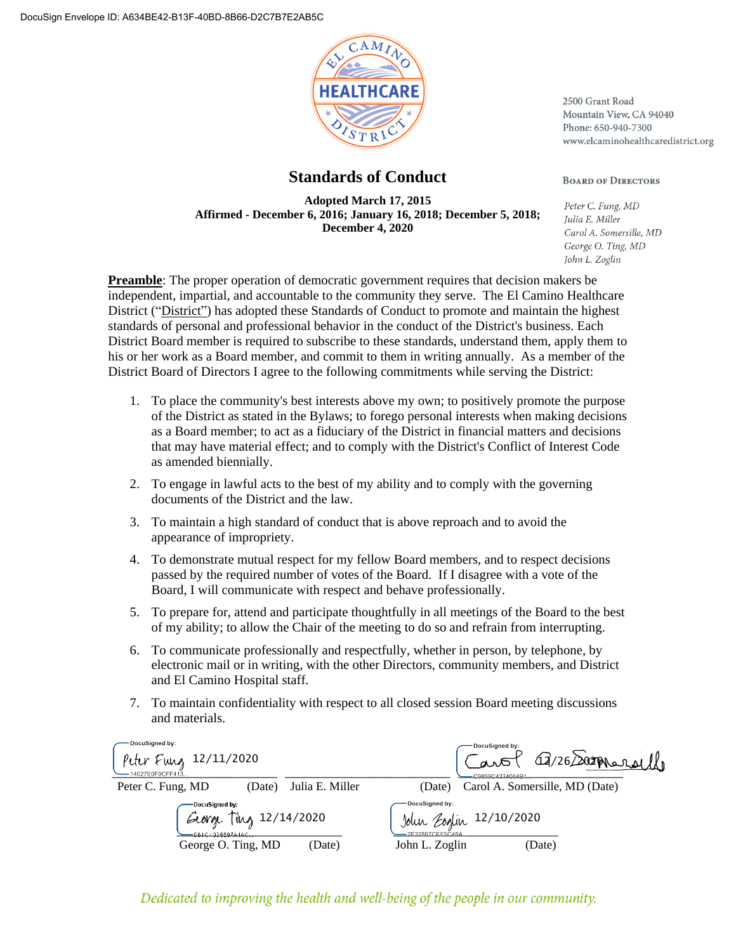

# **Standards of Conduct**

**Adopted March 17, 2015 Affirmed - December 6, 2016; January 16, 2018; December 5, 2018; December 4, 2020**

2500 Grant Road Mountain View, CA 94040 Phone: 650-940-7300 www.elcaminohealthcaredistrict.org

#### **BOARD OF DIRECTORS**

Peter C. Fung, MD Julia E. Miller Carol A. Somersille, MD George O. Ting, MD John L. Zoglin

**Preamble**: The proper operation of democratic government requires that decision makers be independent, impartial, and accountable to the community they serve. The El Camino Healthcare District ("District") has adopted these Standards of Conduct to promote and maintain the highest standards of personal and professional behavior in the conduct of the District's business. Each District Board member is required to subscribe to these standards, understand them, apply them to his or her work as a Board member, and commit to them in writing annually. As a member of the District Board of Directors I agree to the following commitments while serving the District:

- 1. To place the community's best interests above my own; to positively promote the purpose of the District as stated in the Bylaws; to forego personal interests when making decisions as a Board member; to act as a fiduciary of the District in financial matters and decisions that may have material effect; and to comply with the District's Conflict of Interest Code as amended biennially.
- 2. To engage in lawful acts to the best of my ability and to comply with the governing documents of the District and the law.
- 3. To maintain a high standard of conduct that is above reproach and to avoid the appearance of impropriety.
- 4. To demonstrate mutual respect for my fellow Board members, and to respect decisions passed by the required number of votes of the Board. If I disagree with a vote of the Board, I will communicate with respect and behave professionally.
- 5. To prepare for, attend and participate thoughtfully in all meetings of the Board to the best of my ability; to allow the Chair of the meeting to do so and refrain from interrupting.
- 6. To communicate professionally and respectfully, whether in person, by telephone, by electronic mail or in writing, with the other Directors, community members, and District and El Camino Hospital staff.
- 7. To maintain confidentiality with respect to all closed session Board meeting discussions and materials.

| DocuSigned by:<br>Peter Fung $12/11/2020$<br>-14027E0F0CFF413                                  |                 | DocuSigned by:<br>Q/26 Sameralle<br>aw<br>C9859C4334064B1                                |
|------------------------------------------------------------------------------------------------|-----------------|------------------------------------------------------------------------------------------|
| Peter C. Fung, MD<br>(Date)                                                                    | Julia E. Miller | Carol A. Somersille, MD (Date)<br>(Date)                                                 |
| DocuSigned by:<br>$\pi_{M_2}$ 12/14/2020<br>George<br>$-061010355978440$<br>George O. Ting, MD | (Date)          | DocuSigned by:<br>John Eoglin 12/10/2020<br>-2F32897CEF5C48A<br>John L. Zoglin<br>(Date) |

### Dedicated to improving the health and well-being of the people in our community.